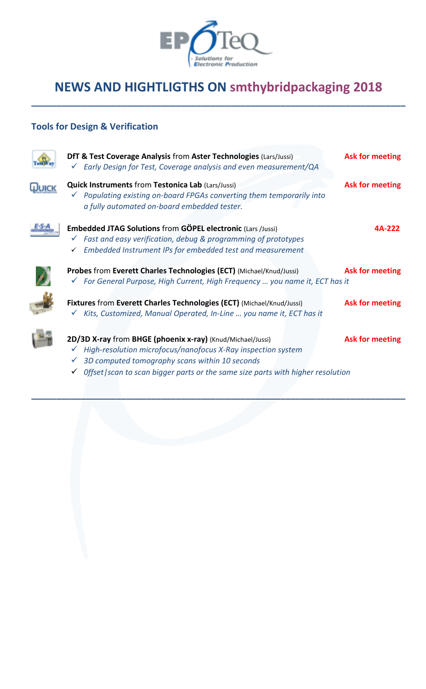

## **NEWS AND HIGHTLIGTHS ON smthybridpackaging 2018**

**\_\_\_\_\_\_\_\_\_\_\_\_\_\_\_\_\_\_\_\_\_\_\_\_\_\_\_\_\_\_\_\_\_\_\_\_\_\_\_\_\_\_\_\_\_\_\_\_\_\_\_\_\_\_\_\_\_\_\_\_\_\_\_\_\_\_\_\_\_\_\_\_\_\_\_**

#### **Tools for Design & Verification**



| DfT & Test Coverage Analysis from Aster Technologies (Lars/Jussi)<br>$\checkmark$ Early Design for Test, Coverage analysis and even measurement/QA                                                                     | <b>Ask for meeting</b> |
|------------------------------------------------------------------------------------------------------------------------------------------------------------------------------------------------------------------------|------------------------|
| <b>Quick Instruments from Testonica Lab (Lars/Jussi)</b><br>$\checkmark$ Populating existing on-board FPGAs converting them temporarily into<br>a fully automated on-board embedded tester.                            | Ask for meeting        |
| Embedded JTAG Solutions from GÖPEL electronic (Lars /Jussi)<br>$\checkmark$ Fast and easy verification, debug & programming of prototypes<br>Embedded Instrument IPs for embedded test and measurement<br>$\checkmark$ | 4A-222                 |
| Probes from Everett Charles Technologies (ECT) (Michael/Knud/Jussi)<br>$\checkmark$ For General Purpose, High Current, High Frequency  you name it, ECT has it                                                         | Ask for meeting        |
| Fixtures from Everett Charles Technologies (ECT) (Michael/Knud/Jussi)<br>√ Kits, Customized, Manual Operated, In-Line  you name it, ECT has it                                                                         | Ask for meeting        |
| 2D/3D X-ray from BHGE (phoenix x-ray) (Knud/Michael/Jussi)<br>$\checkmark$ High-resolution microfocus/nanofocus X-Ray inspection system                                                                                | <b>Ask for meeting</b> |

- ✓ *3D computed tomography scans within 10 seconds*
- ✓ *0ffset|scan to scan bigger parts or the same size parts with higher resolution*

**\_\_\_\_\_\_\_\_\_\_\_\_\_\_\_\_\_\_\_\_\_\_\_\_\_\_\_\_\_\_\_\_\_\_\_\_\_\_\_\_\_\_\_\_\_\_\_\_\_\_\_\_\_\_\_\_\_\_\_\_\_\_\_\_\_\_\_\_\_\_\_\_\_\_\_**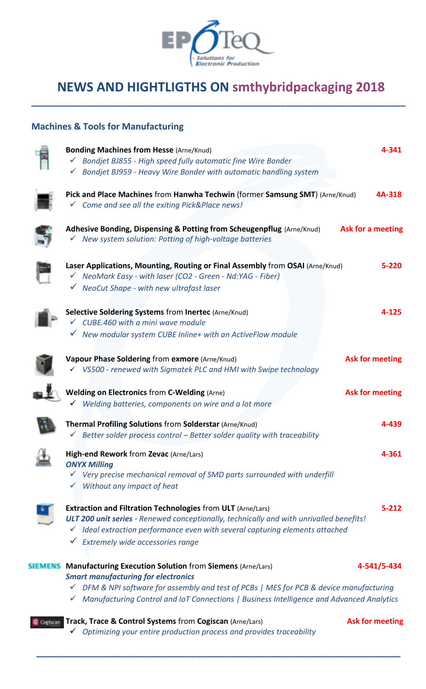

## **NEWS AND HIGHTLIGTHS ON smthybridpackaging 2018**

**\_\_\_\_\_\_\_\_\_\_\_\_\_\_\_\_\_\_\_\_\_\_\_\_\_\_\_\_\_\_\_\_\_\_\_\_\_\_\_\_\_\_\_\_\_\_\_\_\_\_\_\_\_\_\_\_\_\_\_\_\_\_\_\_\_\_\_\_\_\_\_\_\_\_\_**

#### **Machines & Tools for Manufacturing**



|                | <b>Bonding Machines from Hesse (Arne/Knud)</b>                                                                                                                                                                                                                                                                   | 4-341                  |
|----------------|------------------------------------------------------------------------------------------------------------------------------------------------------------------------------------------------------------------------------------------------------------------------------------------------------------------|------------------------|
|                | ✓ Bondjet BJ855 - High speed fully automatic fine Wire Bonder                                                                                                                                                                                                                                                    |                        |
|                | $\checkmark$ Bondjet BJ959 - Heavy Wire Bonder with automatic handling system                                                                                                                                                                                                                                    |                        |
|                | Pick and Place Machines from Hanwha Techwin (former Samsung SMT) (Arne/Knud)<br>$\checkmark$ Come and see all the exiting Pick&Place news!                                                                                                                                                                       | 4A-318                 |
|                | Adhesive Bonding, Dispensing & Potting from Scheugenpflug (Arne/Knud)<br>New system solution: Potting of high-voltage batteries<br>v.                                                                                                                                                                            | Ask for a meeting      |
|                | Laser Applications, Mounting, Routing or Final Assembly from OSAI (Arne/Knud)<br>$\checkmark$ NeoMark Easy - with laser (CO2 - Green - Nd:YAG - Fiber)                                                                                                                                                           | $5 - 220$              |
|                | V NeoCut Shape - with new ultrafast laser                                                                                                                                                                                                                                                                        |                        |
|                | Selective Soldering Systems from Inertec (Arne/Knud)<br>$\checkmark$ CUBE.460 with a mini wave module                                                                                                                                                                                                            | $4 - 125$              |
|                | $\checkmark$ New modular system CUBE Inline+ with an ActiveFlow module                                                                                                                                                                                                                                           |                        |
|                | Vapour Phase Soldering from exmore (Arne/Knud)                                                                                                                                                                                                                                                                   | <b>Ask for meeting</b> |
|                | √ VS500 - renewed with Sigmatek PLC and HMI with Swipe technology                                                                                                                                                                                                                                                |                        |
|                | <b>Welding on Electronics from C-Welding (Arne)</b>                                                                                                                                                                                                                                                              | <b>Ask for meeting</b> |
|                | $\checkmark$ Welding batteries, components on wire and a lot more                                                                                                                                                                                                                                                |                        |
|                | Thermal Profiling Solutions from Solderstar (Arne/Knud)                                                                                                                                                                                                                                                          | 4-439                  |
|                | $\checkmark$ Better solder process control – Better solder quality with traceability                                                                                                                                                                                                                             |                        |
|                | High-end Rework from Zevac (Arne/Lars)<br><b>ONYX Milling</b>                                                                                                                                                                                                                                                    | 4-361                  |
|                | $\checkmark$ Very precise mechanical removal of SMD parts surrounded with underfill<br>$\checkmark$ Without any impact of heat                                                                                                                                                                                   |                        |
|                | <b>Extraction and Filtration Technologies from ULT (Arne/Lars)</b><br><b>ULT 200 unit series</b> - Renewed conceptionally, technically and with unrivalled benefits!<br>$\checkmark$ Ideal extraction performance even with several capturing elements attached<br>$\checkmark$ Extremely wide accessories range | $5 - 212$              |
| <b>SIEMENS</b> | <b>Manufacturing Execution Solution from Siemens (Arne/Lars)</b>                                                                                                                                                                                                                                                 | 4-541/5-434            |
|                | <b>Smart manufacturing for electronics</b><br>$\checkmark$ DFM & NPI software for assembly and test of PCBs   MES for PCB & device manufacturing<br>$\checkmark$ Manufacturing Control and IoT Connections   Business Intelligence and Advanced Analytics                                                        |                        |
| Cogiscan       | Track, Trace & Control Systems from Cogiscan (Arne/Lars)<br>Optimizing your entire production process and provides traceability                                                                                                                                                                                  | <b>Ask for meeting</b> |

**\_\_\_\_\_\_\_\_\_\_\_\_\_\_\_\_\_\_\_\_\_\_\_\_\_\_\_\_\_\_\_\_\_\_\_\_\_\_\_\_\_\_\_\_\_\_\_\_\_\_\_\_\_\_\_\_\_\_\_\_\_\_\_\_\_\_\_\_\_\_\_\_\_**